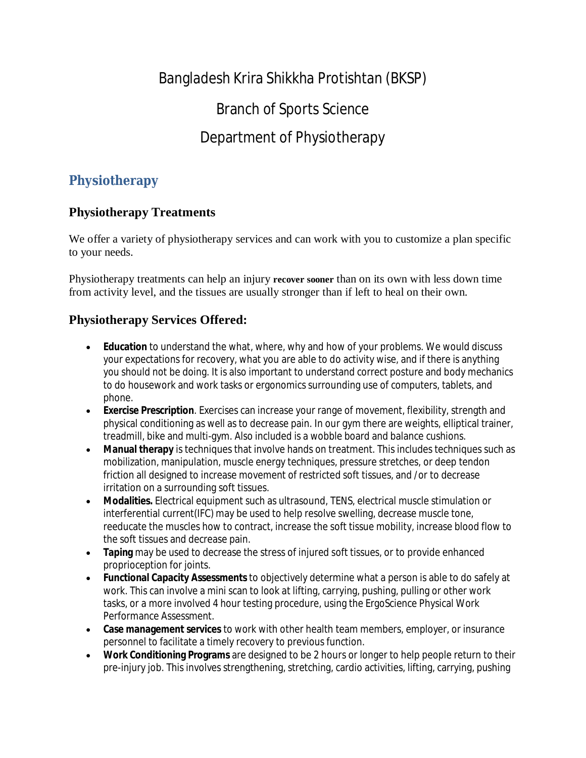## Bangladesh Krira Shikkha Protishtan (BKSP)

Branch of Sports Science

## Department of Physiotherapy

### **Physiotherapy**

#### **Physiotherapy Treatments**

We offer a variety of physiotherapy services and can work with you to customize a plan specific to your needs.

Physiotherapy treatments can help an injury **recover sooner** than on its own with less down time from activity level, and the tissues are usually stronger than if left to heal on their own.

#### **Physiotherapy Services Offered:**

- **Education** to understand the what, where, why and how of your problems. We would discuss your expectations for recovery, what you are able to do activity wise, and if there is anything you should not be doing. It is also important to understand correct posture and body mechanics to do housework and work tasks or ergonomics surrounding use of computers, tablets, and phone.
- **Exercise Prescription**. Exercises can increase your range of movement, flexibility, strength and physical conditioning as well as to decrease pain. In our gym there are weights, elliptical trainer, treadmill, bike and multi-gym. Also included is a wobble board and balance cushions.
- **Manual therapy** is techniques that involve hands on treatment. This includes techniques such as mobilization, manipulation, muscle energy techniques, pressure stretches, or deep tendon friction all designed to increase movement of restricted soft tissues, and /or to decrease irritation on a surrounding soft tissues.
- **Modalities.** Electrical equipment such as ultrasound, TENS, electrical muscle stimulation or interferential current(IFC) may be used to help resolve swelling, decrease muscle tone, reeducate the muscles how to contract, increase the soft tissue mobility, increase blood flow to the soft tissues and decrease pain.
- **Taping** may be used to decrease the stress of injured soft tissues, or to provide enhanced proprioception for joints.
- **Functional Capacity Assessments** to objectively determine what a person is able to do safely at work. This can involve a mini scan to look at lifting, carrying, pushing, pulling or other work tasks, or a more involved 4 hour testing procedure, using the ErgoScience Physical Work Performance Assessment.
- **Case management services** to work with other health team members, employer, or insurance personnel to facilitate a timely recovery to previous function.
- **Work Conditioning Programs** are designed to be 2 hours or longer to help people return to their pre-injury job. This involves strengthening, stretching, cardio activities, lifting, carrying, pushing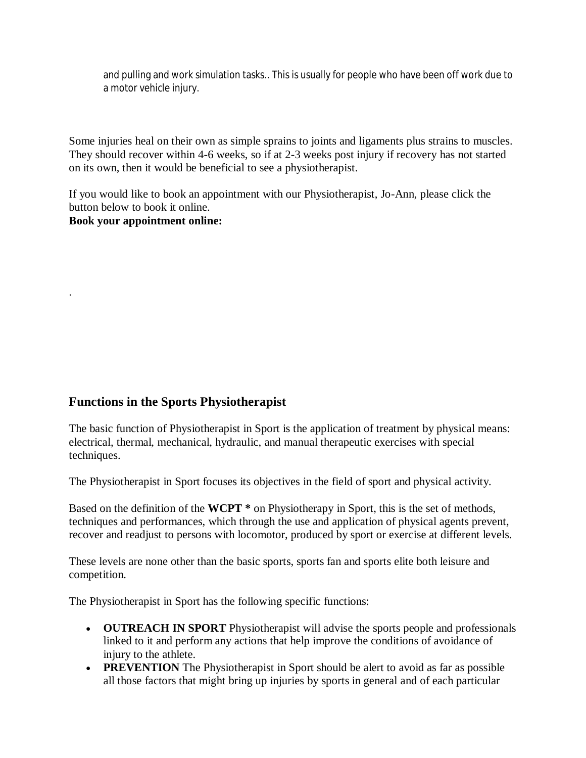and pulling and work simulation tasks.. This is usually for people who have been off work due to a motor vehicle injury.

Some injuries heal on their own as simple sprains to joints and ligaments plus strains to muscles. They should recover within 4-6 weeks, so if at 2-3 weeks post injury if recovery has not started on its own, then it would be beneficial to see a physiotherapist.

If you would like to book an appointment with our Physiotherapist, Jo-Ann, please click the button below to book it online. **Book your appointment online:**

#### **Functions in the Sports Physiotherapist**

.

The basic function of Physiotherapist in Sport is the application of treatment by physical means: electrical, thermal, mechanical, hydraulic, and manual therapeutic exercises with special techniques.

The Physiotherapist in Sport focuses its objectives in the field of sport and physical activity.

Based on the definition of the **WCPT \*** on Physiotherapy in Sport, this is the set of methods, techniques and performances, which through the use and application of physical agents prevent, recover and readjust to persons with locomotor, produced by sport or exercise at different levels.

These levels are none other than the basic sports, sports fan and sports elite both leisure and competition.

The Physiotherapist in Sport has the following specific functions:

- **OUTREACH IN SPORT** Physiotherapist will advise the sports people and professionals linked to it and perform any actions that help improve the conditions of avoidance of injury to the athlete.
- **PREVENTION** The Physiotherapist in Sport should be alert to avoid as far as possible all those factors that might bring up injuries by sports in general and of each particular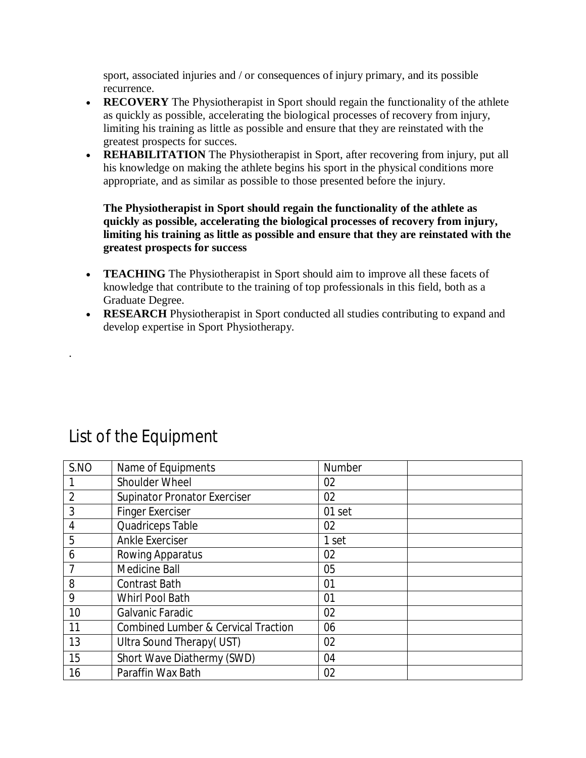sport, associated injuries and / or consequences of injury primary, and its possible recurrence.

- **RECOVERY** The Physiotherapist in Sport should regain the functionality of the athlete as quickly as possible, accelerating the biological processes of recovery from injury, limiting his training as little as possible and ensure that they are reinstated with the greatest prospects for succes.
- **REHABILITATION** The Physiotherapist in Sport, after recovering from injury, put all his knowledge on making the athlete begins his sport in the physical conditions more appropriate, and as similar as possible to those presented before the injury.

**The Physiotherapist in Sport should regain the functionality of the athlete as quickly as possible, accelerating the biological processes of recovery from injury, limiting his training as little as possible and ensure that they are reinstated with the greatest prospects for success**

- **TEACHING** The Physiotherapist in Sport should aim to improve all these facets of knowledge that contribute to the training of top professionals in this field, both as a Graduate Degree.
- **RESEARCH** Physiotherapist in Sport conducted all studies contributing to expand and develop expertise in Sport Physiotherapy.

| S.NO           | Name of Equipments                             | <b>Number</b> |  |
|----------------|------------------------------------------------|---------------|--|
|                | Shoulder Wheel                                 | 02            |  |
| $\overline{2}$ | <b>Supinator Pronator Exerciser</b>            | 02            |  |
| 3              | <b>Finger Exerciser</b>                        | 01 set        |  |
| 4              | Quadriceps Table                               | 02            |  |
| 5              | <b>Ankle Exerciser</b>                         | 1 set         |  |
| 6              | Rowing Apparatus                               | 02            |  |
|                | <b>Medicine Ball</b>                           | 05            |  |
| 8              | <b>Contrast Bath</b>                           | 01            |  |
| 9              | Whirl Pool Bath                                | 01            |  |
| 10             | Galvanic Faradic                               | 02            |  |
| 11             | <b>Combined Lumber &amp; Cervical Traction</b> | 06            |  |
| 13             | Ultra Sound Therapy (UST)                      | 02            |  |
| 15             | Short Wave Diathermy (SWD)                     | 04            |  |
| 16             | Paraffin Wax Bath                              | 02            |  |

# List of the Equipment

.